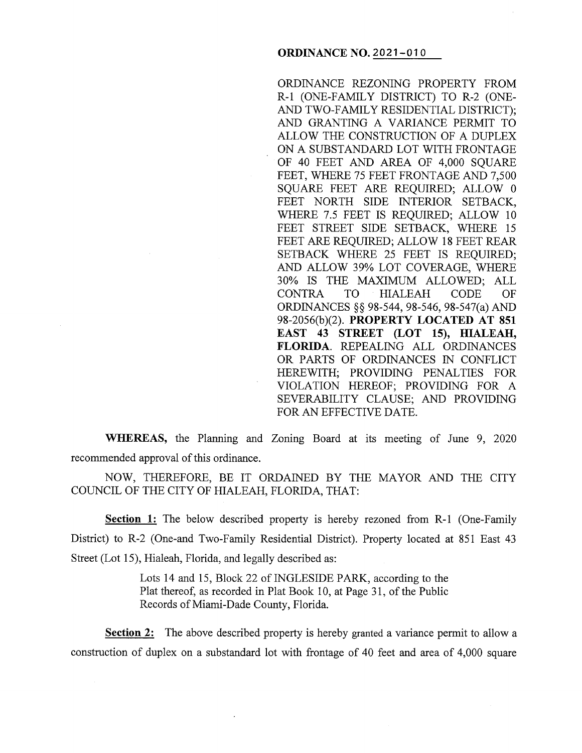ORDINANCE REZONING PROPERTY FROM R-1 (ONE-FAMILY DISTRICT) TO R-2 (ONE-AND TWO-FAMILY RESIDENTIAL DISTRICT); AND GRANTING A VARIANCE PERMIT TO ALLOW THE CONSTRUCTION OF A DUPLEX ON A SUBSTANDARD LOT WITH FRONTAGE OF 40 FEET AND AREA OF 4,000 SQUARE FEET, WHERE 75 FEET FRONTAGE AND 7,500 SQUARE FEET ARE REQUIRED; ALLOW 0 FEET NORTH SIDE INTERIOR SETBACK, WHERE 7.5 FEET IS REQUIRED; ALLOW 10 FEET STREET SIDE SETBACK, WHERE 15 FEET ARE REQUIRED; ALLOW 18 FEET REAR SETBACK WHERE 25 FEET IS REQUIRED; AND ALLOW 39% LOT COVERAGE, WHERE 30% IS THE MAXIMUM ALLOWED; ALL CONTRA TO HIALEAH CODE OF ORDINANCES §§ 98-544, 98-546, 98-547(a) AND 98-2056(b )(2). **PROPERTY LOCATED AT 851 EAST 43 STREET (LOT 15), HIALEAH, FLORIDA.** REPEALING ALL ORDINANCES OR PARTS OF ORDINANCES IN CONFLICT HEREWITH; PROVIDING PENALTIES FOR VIOLATION HEREOF; PROVIDING FOR A SEVERABILITY CLAUSE; AND PROVIDING FOR AN EFFECTIVE DATE.

**WHEREAS,** the Planning and Zoning Board at its meeting of June 9, 2020 recommended approval of this ordinance.

NOW, THEREFORE, BE IT ORDAINED BY THE MAYOR AND THE CITY COUNCIL OF THE CITY OF HIALEAH, FLORIDA, THAT:

**Section 1:** The below described property is hereby rezoned from R-1 (One-Family District) to R-2 (One-and Two-Family Residential District). Property located at 851 East 43 Street (Lot 15), Hialeah, Florida, and legally described as:

> Lots 14 and 15, Block 22 of INGLESIDE PARK, according to the Plat thereof, as recorded in Plat Book 10, at Page 31, of the Public Records of Miami-Dade County, Florida.

**Section 2:** The above described property is hereby granted a variance permit to allow a construction of duplex on a substandard lot with frontage of 40 feet and area of 4,000 square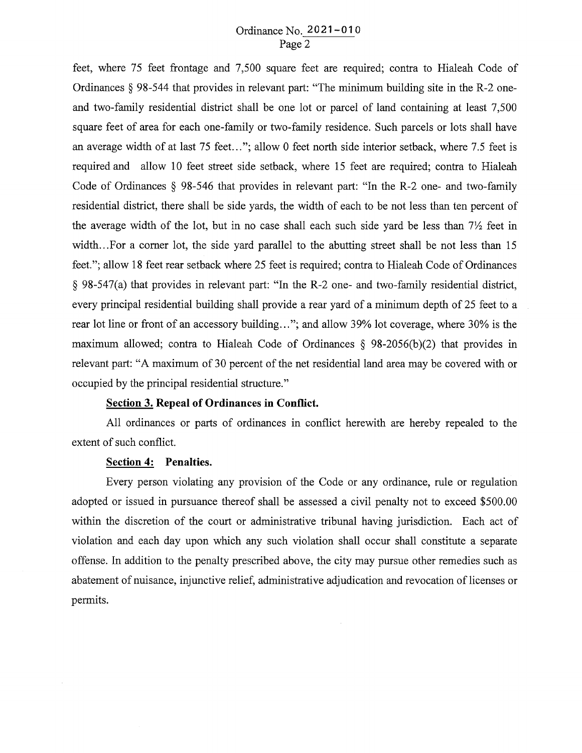# Ordinance No. 2021-010 Page 2

feet, where 75 feet frontage and 7,500 square feet are required; contra to Hialeah Code of Ordinances § 98-544 that provides in relevant part: "The minimum building site in the R-2 oneand two-family residential district shall be one lot or parcel of land containing at least 7,500 square feet of area for each one-family or two-family residence. Such parcels or lots shall have an average width of at last 75 feet..."; allow 0 feet north side interior setback, where 7.5 feet is required and allow 10 feet street side setback, where 15 feet are required; contra to Hialeah Code of Ordinances § 98-546 that provides in relevant part: "In the R-2 one- and two-family residential district, there shall be side yards, the width of each to be not less than ten percent of the average width of the lot, but in no case shall each such side yard be less than  $7\frac{1}{2}$  feet in width... For a corner lot, the side yard parallel to the abutting street shall be not less than 15 feet."; allow 18 feet rear setback where 25 feet is required; contra to Hialeah Code of Ordinances § 98-547(a) that provides in relevant part: "In the R-2 one- and two-family residential district, every principal residential building shall provide a rear yard of a minimum depth of 25 feet to a rear lot line or front of an accessory building..."; and allow 39% lot coverage, where 30% is the maximum allowed; contra to Hialeah Code of Ordinances  $\S$  98-2056(b)(2) that provides in relevant part: "A maximum of 30 percent of the net residential land area may be covered with or occupied by the principal residential structure."

# **Section 3. Repeal of Ordinances in Conflict.**

All ordinances or parts of ordinances in conflict herewith are hereby repealed to the extent of such conflict.

### **Section 4: Penalties.**

Every person violating any provision of the Code or any ordinance, rule or regulation adopted or issued in pursuance thereof shall be assessed a civil penalty not to exceed \$500.00 within the discretion of the court or administrative tribunal having jurisdiction. Each act of violation and each day upon which any such violation shall occur shall constitute a separate offense. In addition to the penalty prescribed above, the city may pursue other remedies such as abatement of nuisance, injunctive relief, administrative adjudication and revocation of licenses or permits.